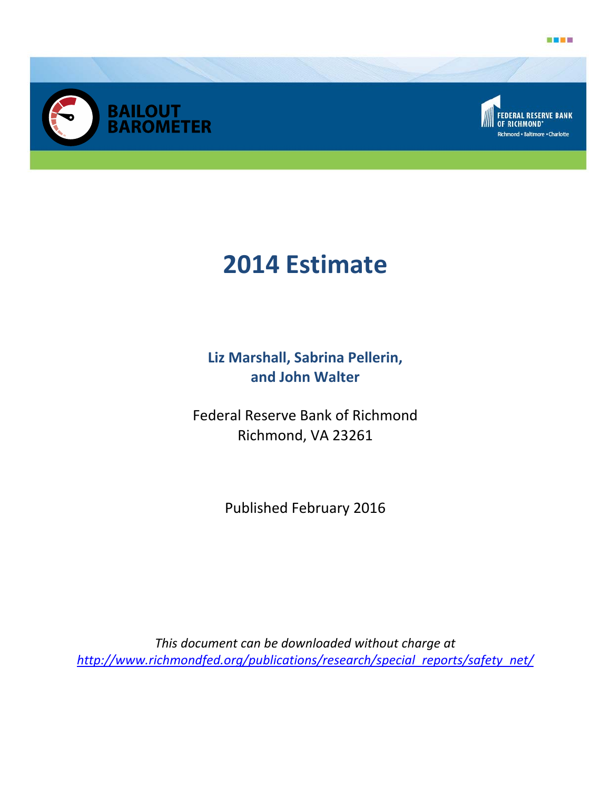





# **2014 Estimate**

**Liz Marshall, Sabrina Pellerin, and John Walter** 

Federal Reserve Bank of Richmond Richmond, VA 23261

Published February 2016

*This document can be downloaded without charge at http://www.richmondfed.org/publications/research/special\_reports/safety\_net/*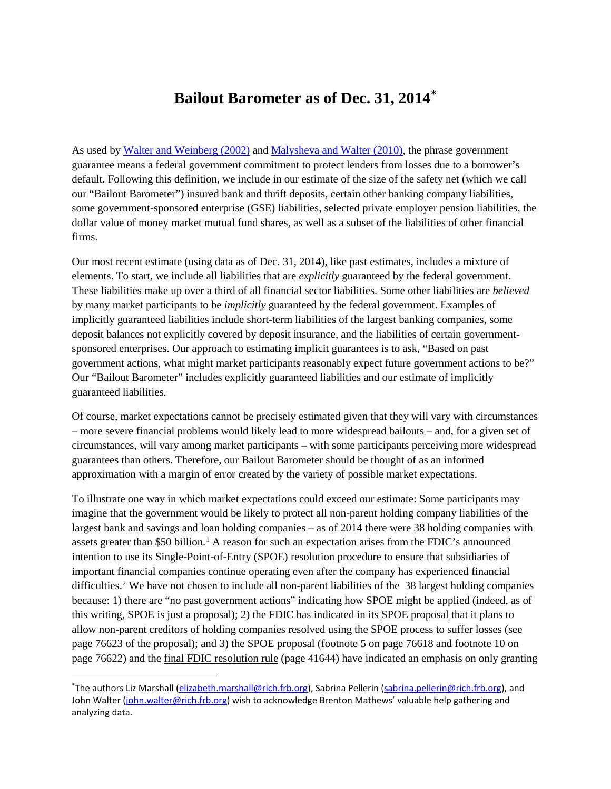# **Bailout Barometer as of Dec. 31, 2014[\\*](#page-1-0)**

As used b[y Walter and Weinberg \(2002\)](http://www.cato.org/sites/cato.org/files/serials/files/cato-journal/2002/1/cj21n3-2.pdf) and [Malysheva and Walter \(2010\),](http://www.richmondfed.org/publications/research/economic_quarterly/2010/q3/pdf/walter.pdf) the phrase government guarantee means a federal government commitment to protect lenders from losses due to a borrower's default. Following this definition, we include in our estimate of the size of the safety net (which we call our "Bailout Barometer") insured bank and thrift deposits, certain other banking company liabilities, some government-sponsored enterprise (GSE) liabilities, selected private employer pension liabilities, the dollar value of money market mutual fund shares, as well as a subset of the liabilities of other financial firms.

Our most recent estimate (using data as of Dec. 31, 2014), like past estimates, includes a mixture of elements. To start, we include all liabilities that are *explicitly* guaranteed by the federal government. These liabilities make up over a third of all financial sector liabilities. Some other liabilities are *believed* by many market participants to be *implicitly* guaranteed by the federal government. Examples of implicitly guaranteed liabilities include short-term liabilities of the largest banking companies, some deposit balances not explicitly covered by deposit insurance, and the liabilities of certain governmentsponsored enterprises. Our approach to estimating implicit guarantees is to ask, "Based on past government actions, what might market participants reasonably expect future government actions to be?" Our "Bailout Barometer" includes explicitly guaranteed liabilities and our estimate of implicitly guaranteed liabilities.

Of course, market expectations cannot be precisely estimated given that they will vary with circumstances – more severe financial problems would likely lead to more widespread bailouts – and, for a given set of circumstances, will vary among market participants – with some participants perceiving more widespread guarantees than others. Therefore, our Bailout Barometer should be thought of as an informed approximation with a margin of error created by the variety of possible market expectations.

To illustrate one way in which market expectations could exceed our estimate: Some participants may imagine that the government would be likely to protect all non-parent holding company liabilities of the largest bank and savings and loan holding companies – as of 2014 there were 38 holding companies with assets greater than \$50 billion.<sup>[1](#page-3-0)</sup> A reason for such an expectation arises from the FDIC's announced intention to use its Single-Point-of-Entry (SPOE) resolution procedure to ensure that subsidiaries of important financial companies continue operating even after the company has experienced financial difficulties.<sup>[2](#page-3-1)</sup> We have not chosen to include all non-parent liabilities of the  $38$  largest holding companies because: 1) there are "no past government actions" indicating how SPOE might be applied (indeed, as of this writing, SPOE is just a proposal); 2) the FDIC has indicated in its [SPOE proposal](http://www.gpo.gov/fdsys/pkg/FR-2013-12-18/pdf/2013-30057.pdf) that it plans to allow non-parent creditors of holding companies resolved using the SPOE process to suffer losses (see page 76623 of the proposal); and 3) the SPOE proposal (footnote 5 on page 76618 and footnote 10 on page 76622) and the [final FDIC resolution rule](https://www.fdic.gov/regulations/laws/federal/2011/11finaljuly15.pdf) (page 41644) have indicated an emphasis on only granting

<span id="page-1-0"></span> <sup>\*</sup> The authors Liz Marshall [\(elizabeth.marshall@rich.frb.org\)](mailto:elizabeth.marshall@rich.frb.org), Sabrina Pellerin [\(sabrina.pellerin@rich.frb.org\)](mailto:sabrina.pellerin@rich.frb.org), and John Walter [\(john.walter@rich.frb.org\)](mailto:john.walter@rich.frb.org) wish to acknowledge Brenton Mathews' valuable help gathering and analyzing data.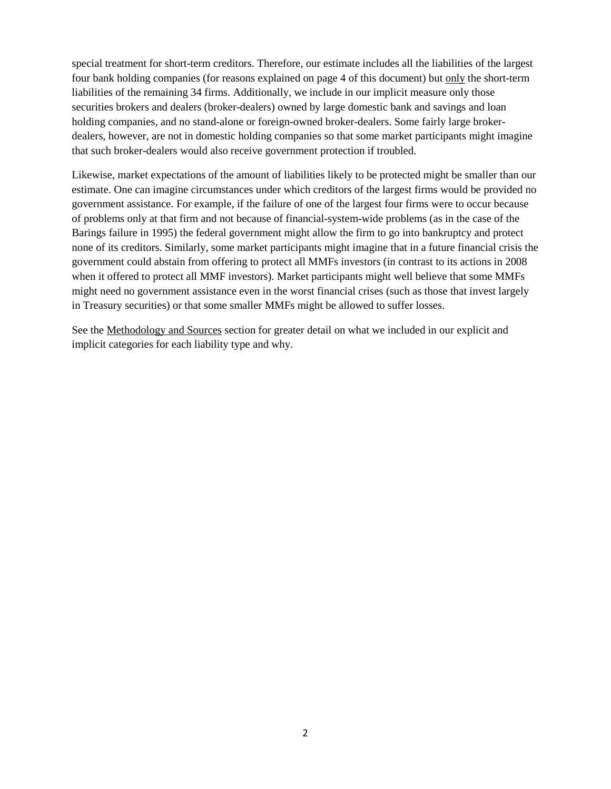special treatment for short-term creditors. Therefore, our estimate includes all the liabilities of the largest four bank holding companies (for reasons explained on page 4 of this document) but only the short-term liabilities of the remaining 34 firms. Additionally, we include in our implicit measure only those securities brokers and dealers (broker-dealers) owned by large domestic bank and savings and loan holding companies, and no stand-alone or foreign-owned broker-dealers. Some fairly large brokerdealers, however, are not in domestic holding companies so that some market participants might imagine that such broker-dealers would also receive government protection if troubled.

Likewise, market expectations of the amount of liabilities likely to be protected might be smaller than our estimate. One can imagine circumstances under which creditors of the largest firms would be provided no government assistance. For example, if the failure of one of the largest four firms were to occur because of problems only at that firm and not because of financial-system-wide problems (as in the case of the Barings failure in 1995) the federal government might allow the firm to go into bankruptcy and protect none of its creditors. Similarly, some market participants might imagine that in a future financial crisis the government could abstain from offering to protect all MMFs investors (in contrast to its actions in 2008 when it offered to protect all MMF investors). Market participants might well believe that some MMFs might need no government assistance even in the worst financial crises (such as those that invest largely in Treasury securities) or that some smaller MMFs might be allowed to suffer losses.

See the Methodology and Sources section for greater detail on what we included in our explicit and implicit categories for each liability type and why.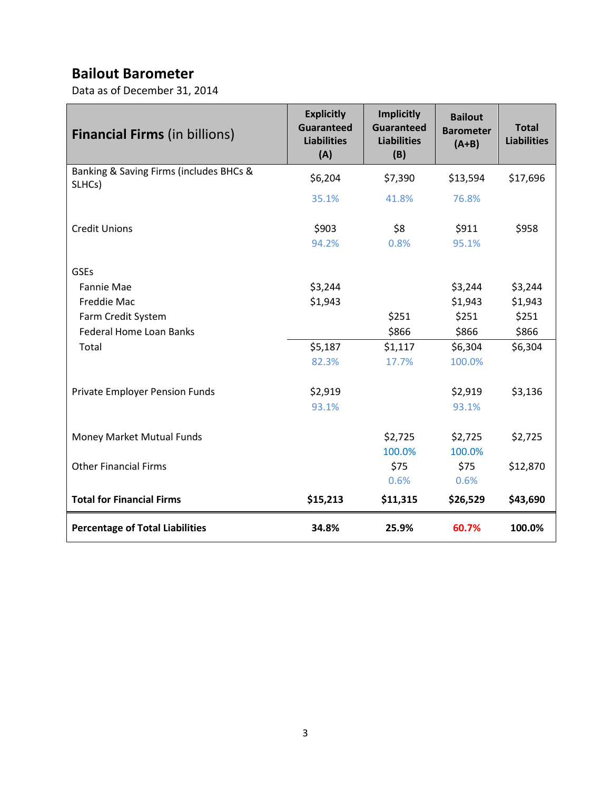# **Bailout Barometer**

Data as of December 31, 2014

<span id="page-3-1"></span><span id="page-3-0"></span>

| <b>Financial Firms (in billions)</b>              | <b>Explicitly</b><br><b>Guaranteed</b><br><b>Liabilities</b><br>(A) | <b>Implicitly</b><br><b>Guaranteed</b><br><b>Liabilities</b><br>(B) | <b>Bailout</b><br><b>Barometer</b><br>$(A+B)$ | <b>Total</b><br><b>Liabilities</b> |
|---------------------------------------------------|---------------------------------------------------------------------|---------------------------------------------------------------------|-----------------------------------------------|------------------------------------|
| Banking & Saving Firms (includes BHCs &<br>SLHCs) | \$6,204                                                             | \$7,390                                                             | \$13,594                                      | \$17,696                           |
|                                                   | 35.1%                                                               | 41.8%                                                               | 76.8%                                         |                                    |
| <b>Credit Unions</b>                              | \$903<br>94.2%                                                      | \$8<br>0.8%                                                         | \$911<br>95.1%                                | \$958                              |
| <b>GSEs</b>                                       |                                                                     |                                                                     |                                               |                                    |
| <b>Fannie Mae</b>                                 | \$3,244                                                             |                                                                     | \$3,244                                       | \$3,244                            |
| <b>Freddie Mac</b>                                | \$1,943                                                             |                                                                     | \$1,943                                       | \$1,943                            |
| Farm Credit System                                |                                                                     | \$251                                                               | \$251                                         | \$251                              |
| <b>Federal Home Loan Banks</b>                    |                                                                     | \$866                                                               | \$866                                         | \$866                              |
| Total                                             | \$5,187                                                             | \$1,117                                                             | \$6,304                                       | \$6,304                            |
|                                                   | 82.3%                                                               | 17.7%                                                               | 100.0%                                        |                                    |
| Private Employer Pension Funds                    | \$2,919                                                             |                                                                     | \$2,919                                       | \$3,136                            |
|                                                   | 93.1%                                                               |                                                                     | 93.1%                                         |                                    |
| Money Market Mutual Funds                         |                                                                     | \$2,725                                                             | \$2,725                                       | \$2,725                            |
|                                                   |                                                                     | 100.0%                                                              | 100.0%                                        |                                    |
| <b>Other Financial Firms</b>                      |                                                                     | \$75                                                                | \$75                                          | \$12,870                           |
|                                                   |                                                                     | 0.6%                                                                | 0.6%                                          |                                    |
| <b>Total for Financial Firms</b>                  | \$15,213                                                            | \$11,315                                                            | \$26,529                                      | \$43,690                           |
| <b>Percentage of Total Liabilities</b>            | 34.8%                                                               | 25.9%                                                               | 60.7%                                         | 100.0%                             |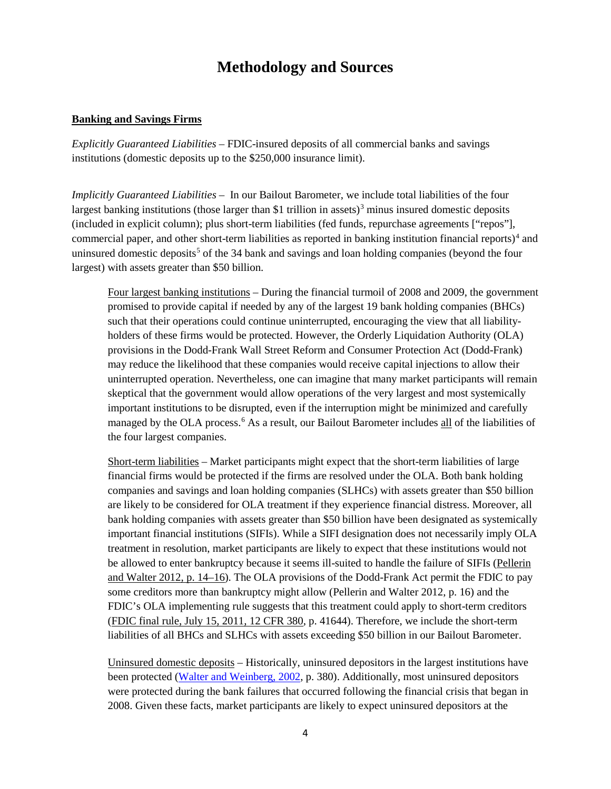# **Methodology and Sources**

#### <span id="page-4-1"></span>**Banking and Savings Firms**

*Explicitly Guaranteed Liabilities –* FDIC-insured deposits of all commercial banks and savings institutions (domestic deposits up to the \$250,000 insurance limit).

<span id="page-4-3"></span><span id="page-4-2"></span>*Implicitly Guaranteed Liabilities –* In our Bailout Barometer, we include total liabilities of the four largest banking institutions (those larger than \$1 trillion in assets)<sup>[3](#page-4-0)</sup> minus insured domestic deposits (included in explicit column); plus short-term liabilities (fed funds, repurchase agreements ["repos"], commercial paper, and other short-term liabilities as reported in banking institution financial reports)[4](#page-4-1) and uninsured domestic deposits<sup>[5](#page-4-2)</sup> of the 34 bank and savings and loan holding companies (beyond the four largest) with assets greater than \$50 billion.

Four largest banking institutions – During the financial turmoil of 2008 and 2009, the government promised to provide capital if needed by any of the largest 19 bank holding companies (BHCs) such that their operations could continue uninterrupted, encouraging the view that all liabilityholders of these firms would be protected. However, the Orderly Liquidation Authority (OLA) provisions in the Dodd-Frank Wall Street Reform and Consumer Protection Act (Dodd-Frank) may reduce the likelihood that these companies would receive capital injections to allow their uninterrupted operation. Nevertheless, one can imagine that many market participants will remain skeptical that the government would allow operations of the very largest and most systemically important institutions to be disrupted, even if the interruption might be minimized and carefully managed by the OLA process.<sup>[6](#page-4-3)</sup> As a result, our Bailout Barometer includes all of the liabilities of the four largest companies.

Short-term liabilities – Market participants might expect that the short-term liabilities of large financial firms would be protected if the firms are resolved under the OLA. Both bank holding companies and savings and loan holding companies (SLHCs) with assets greater than \$50 billion are likely to be considered for OLA treatment if they experience financial distress. Moreover, all bank holding companies with assets greater than \$50 billion have been designated as systemically important financial institutions (SIFIs). While a SIFI designation does not necessarily imply OLA treatment in resolution, market participants are likely to expect that these institutions would not be allowed to enter bankruptcy because it seems ill-suited to handle the failure of SIFIs [\(Pellerin](http://www.richmondfed.org/publications/research/economic_quarterly/2012/q1/pdf/walter.pdf)  [and Walter 2012, p. 14–16\)](http://www.richmondfed.org/publications/research/economic_quarterly/2012/q1/pdf/walter.pdf). The OLA provisions of the Dodd-Frank Act permit the FDIC to pay some creditors more than bankruptcy might allow (Pellerin and Walter 2012, p. 16) and the FDIC's OLA implementing rule suggests that this treatment could apply to short-term creditors [\(FDIC final rule, July 15, 2011, 12 CFR 380,](http://www.fdic.gov/regulations/laws/federal/2011/11finaljuly15.pdf) p. 41644). Therefore, we include the short-term liabilities of all BHCs and SLHCs with assets exceeding \$50 billion in our Bailout Barometer.

<span id="page-4-0"></span>Uninsured domestic deposits – Historically, uninsured depositors in the largest institutions have been protected [\(Walter and Weinberg, 2002,](http://www.cato.org/sites/cato.org/files/serials/files/cato-journal/2002/1/cj21n3-2.pdf) p. 380). Additionally, most uninsured depositors were protected during the bank failures that occurred following the financial crisis that began in 2008. Given these facts, market participants are likely to expect uninsured depositors at the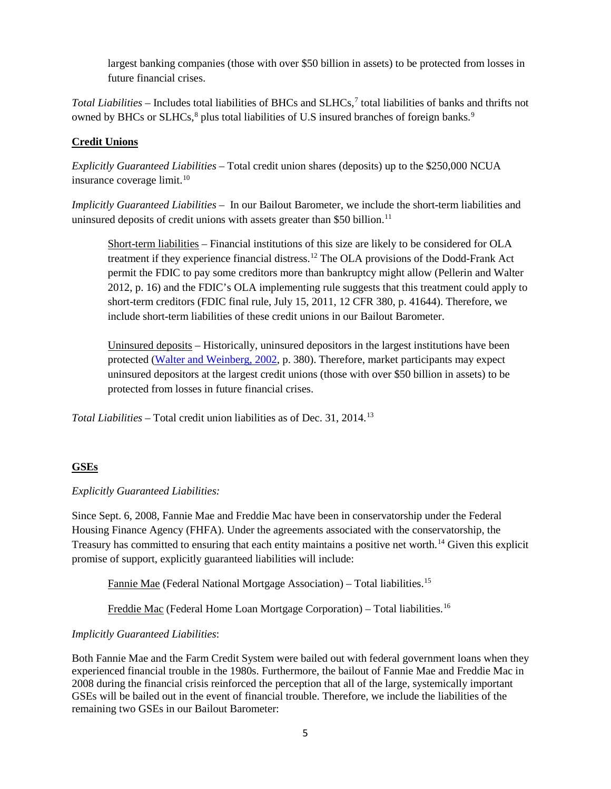largest banking companies (those with over \$50 billion in assets) to be protected from losses in future financial crises.

<span id="page-5-9"></span>*Total Liabilities* – Includes total liabilities of BHCs and SLHCs,[7](#page-5-0) total liabilities of banks and thrifts not owned by BHCs or SLHCs,<sup>[8](#page-5-1)</sup> plus total liabilities of U.S insured branches of foreign banks.<sup>[9](#page-5-2)</sup>

## **Credit Unions**

*Explicitly Guaranteed Liabilities* – Total credit union shares (deposits) up to the \$250,000 NCUA insurance coverage limit.<sup>10</sup>

*Implicitly Guaranteed Liabilities –* In our Bailout Barometer, we include the short-term liabilities and uninsured deposits of credit unions with assets greater than \$50 billion.<sup>[11](#page-5-4)</sup>

Short-term liabilities – Financial institutions of this size are likely to be considered for OLA treatment if they experience financial distress. [12](#page-5-5) The OLA provisions of the Dodd-Frank Act permit the FDIC to pay some creditors more than bankruptcy might allow (Pellerin and Walter 2012, p. 16) and the FDIC's OLA implementing rule suggests that this treatment could apply to short-term creditors (FDIC final rule, July 15, 2011, 12 CFR 380, p. 41644). Therefore, we include short-term liabilities of these credit unions in our Bailout Barometer.

Uninsured deposits – Historically, uninsured depositors in the largest institutions have been protected [\(Walter and Weinberg, 2002,](http://www.cato.org/sites/cato.org/files/serials/files/cato-journal/2002/1/cj21n3-2.pdf) p. 380). Therefore, market participants may expect uninsured depositors at the largest credit unions (those with over \$50 billion in assets) to be protected from losses in future financial crises.

<span id="page-5-4"></span><span id="page-5-3"></span><span id="page-5-2"></span><span id="page-5-1"></span><span id="page-5-0"></span>*Total Liabilities –* Total credit union liabilities as of Dec. 31, 2014. [13](#page-5-6)

## <span id="page-5-5"></span>**GSEs**

## <span id="page-5-6"></span>*Explicitly Guaranteed Liabilities:*

<span id="page-5-7"></span>Since Sept. 6, 2008, Fannie Mae and Freddie Mac have been in conservatorship under the Federal Housing Finance Agency (FHFA). Under the agreements associated with the conservatorship, the Treasury has committed to ensuring that each entity maintains a positive net worth.[14](#page-5-7) Given this explicit promise of support, explicitly guaranteed liabilities will include:

Fannie Mae (Federal National Mortgage Association) - Total liabilities.<sup>[15](#page-5-8)</sup>

Freddie Mac (Federal Home Loan Mortgage Corporation) - Total liabilities.<sup>[16](#page-5-9)</sup>

#### *Implicitly Guaranteed Liabilities*:

<span id="page-5-8"></span>Both Fannie Mae and the Farm Credit System were bailed out with federal government loans when they experienced financial trouble in the 1980s. Furthermore, the bailout of Fannie Mae and Freddie Mac in 2008 during the financial crisis reinforced the perception that all of the large, systemically important GSEs will be bailed out in the event of financial trouble. Therefore, we include the liabilities of the remaining two GSEs in our Bailout Barometer: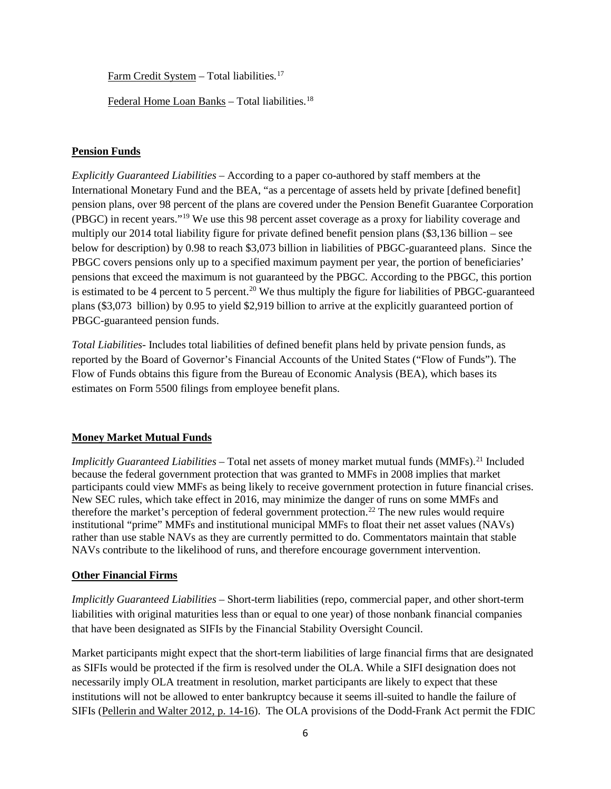Farm Credit System - Total liabilities.<sup>[17](#page-6-0)</sup>

Federal Home Loan Banks - Total liabilities.<sup>[18](#page-6-1)</sup>

#### <span id="page-6-0"></span>**Pension Funds**

<span id="page-6-1"></span>*Explicitly Guaranteed Liabilities* – According to a paper co-authored by staff members at the International Monetary Fund and the BEA, "as a percentage of assets held by private [defined benefit] pension plans, over 98 percent of the plans are covered under the Pension Benefit Guarantee Corporation (PBGC) in recent years."[19](#page-6-2) We use this 98 percent asset coverage as a proxy for liability coverage and multiply our 2014 total liability figure for private defined benefit pension plans (\$3,136 billion – see below for description) by 0.98 to reach \$3,073 billion in liabilities of PBGC-guaranteed plans. Since the PBGC covers pensions only up to a specified maximum payment per year, the portion of beneficiaries' pensions that exceed the maximum is not guaranteed by the PBGC. According to the PBGC, this portion is estimated to be 4 percent to 5 percent.<sup>[20](#page-6-3)</sup> We thus multiply the figure for liabilities of PBGC-guaranteed plans (\$3,073 billion) by 0.95 to yield \$2,919 billion to arrive at the explicitly guaranteed portion of PBGC-guaranteed pension funds.

<span id="page-6-4"></span><span id="page-6-3"></span><span id="page-6-2"></span>*Total Liabilities*- Includes total liabilities of defined benefit plans held by private pension funds, as reported by the Board of Governor's Financial Accounts of the United States ("Flow of Funds"). The Flow of Funds obtains this figure from the Bureau of Economic Analysis (BEA), which bases its estimates on Form 5500 filings from employee benefit plans.

## <span id="page-6-5"></span>**Money Market Mutual Funds**

*Implicitly Guaranteed Liabilities* – Total net assets of money market mutual funds (MMFs). [21](#page-6-4) Included because the federal government protection that was granted to MMFs in 2008 implies that market participants could view MMFs as being likely to receive government protection in future financial crises. New SEC rules, which take effect in 2016, may minimize the danger of runs on some MMFs and therefore the market's perception of federal government protection.<sup>[22](#page-6-5)</sup> The new rules would require institutional "prime" MMFs and institutional municipal MMFs to float their net asset values (NAVs) rather than use stable NAVs as they are currently permitted to do. Commentators maintain that stable NAVs contribute to the likelihood of runs, and therefore encourage government intervention.

#### **Other Financial Firms**

*Implicitly Guaranteed Liabilities* – Short-term liabilities (repo, commercial paper, and other short-term liabilities with original maturities less than or equal to one year) of those nonbank financial companies that have been designated as SIFIs by the Financial Stability Oversight Council.

Market participants might expect that the short-term liabilities of large financial firms that are designated as SIFIs would be protected if the firm is resolved under the OLA. While a SIFI designation does not necessarily imply OLA treatment in resolution, market participants are likely to expect that these institutions will not be allowed to enter bankruptcy because it seems ill-suited to handle the failure of SIFIs [\(Pellerin and Walter 2012, p. 14-16\)](http://www.richmondfed.org/publications/research/economic_quarterly/2012/q1/pdf/walter.pdf). The OLA provisions of the Dodd-Frank Act permit the FDIC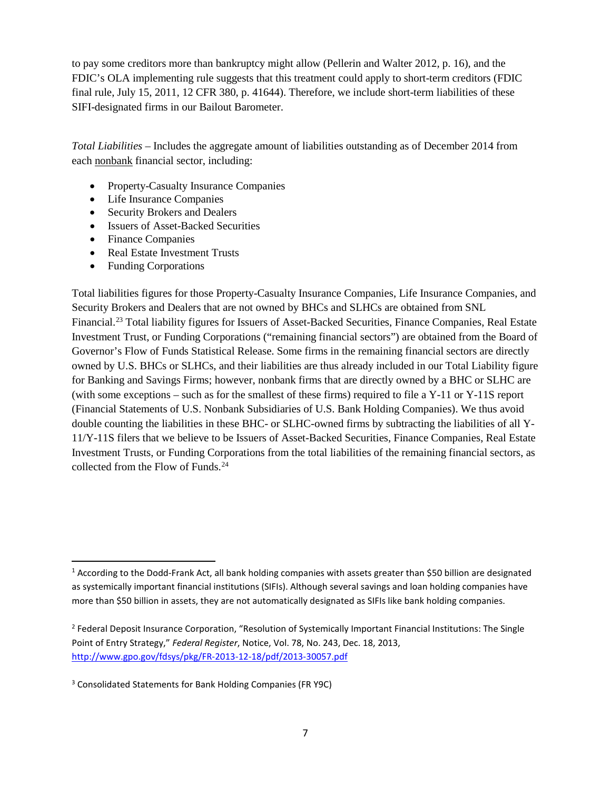to pay some creditors more than bankruptcy might allow (Pellerin and Walter 2012, p. 16), and the FDIC's OLA implementing rule suggests that this treatment could apply to short-term creditors (FDIC final rule, July 15, 2011, 12 CFR 380, p. 41644). Therefore, we include short-term liabilities of these SIFI-designated firms in our Bailout Barometer.

*Total Liabilities* – Includes the aggregate amount of liabilities outstanding as of December 2014 from each nonbank financial sector, including:

- Property-Casualty Insurance Companies
- Life Insurance Companies
- Security Brokers and Dealers
- Issuers of Asset-Backed Securities
- Finance Companies
- Real Estate Investment Trusts
- Funding Corporations

Total liabilities figures for those Property-Casualty Insurance Companies, Life Insurance Companies, and Security Brokers and Dealers that are not owned by BHCs and SLHCs are obtained from SNL Financial.[23](#page-7-0) Total liability figures for Issuers of Asset-Backed Securities, Finance Companies, Real Estate Investment Trust, or Funding Corporations ("remaining financial sectors") are obtained from the Board of Governor's Flow of Funds Statistical Release. Some firms in the remaining financial sectors are directly owned by U.S. BHCs or SLHCs, and their liabilities are thus already included in our Total Liability figure for Banking and Savings Firms; however, nonbank firms that are directly owned by a BHC or SLHC are (with some exceptions – such as for the smallest of these firms) required to file a Y-11 or Y-11S report (Financial Statements of U.S. Nonbank Subsidiaries of U.S. Bank Holding Companies). We thus avoid double counting the liabilities in these BHC- or SLHC-owned firms by subtracting the liabilities of all Y-11/Y-11S filers that we believe to be Issuers of Asset-Backed Securities, Finance Companies, Real Estate Investment Trusts, or Funding Corporations from the total liabilities of the remaining financial sectors, as collected from the Flow of Funds.<sup>[24](#page-7-1)</sup>

<span id="page-7-1"></span><span id="page-7-0"></span> $1$  According to the Dodd-Frank Act, all bank holding companies with assets greater than \$50 billion are designated as systemically important financial institutions (SIFIs). Although several savings and loan holding companies have more than \$50 billion in assets, they are not automatically designated as SIFIs like bank holding companies.

<sup>&</sup>lt;sup>2</sup> Federal Deposit Insurance Corporation, "Resolution of Systemically Important Financial Institutions: The Single Point of Entry Strategy," *Federal Register*, Notice, Vol. 78, No. 243, Dec. 18, 2013, <http://www.gpo.gov/fdsys/pkg/FR-2013-12-18/pdf/2013-30057.pdf>

<sup>3</sup> Consolidated Statements for Bank Holding Companies (FR Y9C)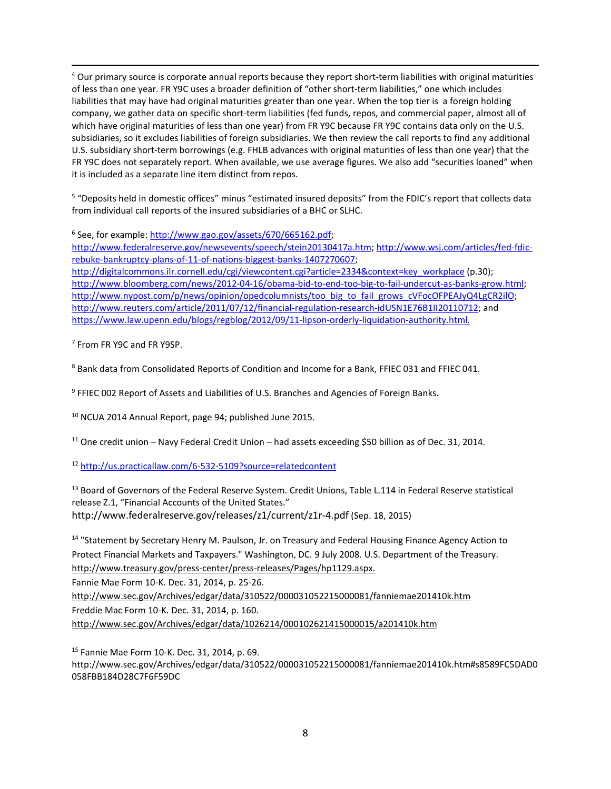4 Our primary source is corporate annual reports because they report short-term liabilities with original maturities of less than one year. FR Y9C uses a broader definition of "other short-term liabilities," one which includes liabilities that may have had original maturities greater than one year. When the top tier is a foreign holding company, we gather data on specific short-term liabilities (fed funds, repos, and commercial paper, almost all of which have original maturities of less than one year) from FR Y9C because FR Y9C contains data only on the U.S. subsidiaries, so it excludes liabilities of foreign subsidiaries. We then review the call reports to find any additional U.S. subsidiary short-term borrowings (e.g. FHLB advances with original maturities of less than one year) that the FR Y9C does not separately report. When available, we use average figures. We also add "securities loaned" when it is included as a separate line item distinct from repos.

<sup>5</sup> "Deposits held in domestic offices" minus "estimated insured deposits" from the FDIC's report that collects data from individual call reports of the insured subsidiaries of a BHC or SLHC.

<sup>6</sup> See, for example[: http://www.gao.gov/assets/670/665162.pdf;](http://www.gao.gov/assets/670/665162.pdf)

[http://www.federalreserve.gov/newsevents/speech/stein20130417a.htm;](http://www.federalreserve.gov/newsevents/speech/stein20130417a.htm) [http://www.wsj.com/articles/fed-fdic](http://www.wsj.com/articles/fed-fdic-rebuke-bankruptcy-plans-of-11-of-nations-biggest-banks-1407270607)[rebuke-bankruptcy-plans-of-11-of-nations-biggest-banks-1407270607;](http://www.wsj.com/articles/fed-fdic-rebuke-bankruptcy-plans-of-11-of-nations-biggest-banks-1407270607)

[http://digitalcommons.ilr.cornell.edu/cgi/viewcontent.cgi?article=2334&context=key\\_workplace](http://digitalcommons.ilr.cornell.edu/cgi/viewcontent.cgi?article=2334&context=key_workplace) (p.30); [http://www.bloomberg.com/news/2012-04-16/obama-bid-to-end-too-big-to-fail-undercut-as-banks-grow.html;](http://www.bloomberg.com/news/2012-04-16/obama-bid-to-end-too-big-to-fail-undercut-as-banks-grow.html) [http://www.nypost.com/p/news/opinion/opedcolumnists/too\\_big\\_to\\_fail\\_grows\\_cVFocOFPEAJyQ4LgCR2ilO;](http://www.nypost.com/p/news/opinion/opedcolumnists/too_big_to_fail_grows_cVFocOFPEAJyQ4LgCR2ilO) [http://www.reuters.com/article/2011/07/12/financial-regulation-research-idUSN1E76B1II20110712;](http://www.reuters.com/article/2011/07/12/financial-regulation-research-idUSN1E76B1II20110712) and [https://www.law.upenn.edu/blogs/regblog/2012/09/11-lipson-orderly-liquidation-authority.html.](https://www.law.upenn.edu/blogs/regblog/2012/09/11-lipson-orderly-liquidation-authority.html)

<sup>7</sup> From FR Y9C and FR Y9SP.

<sup>8</sup> Bank data from Consolidated Reports of Condition and Income for a Bank, FFIEC 031 and FFIEC 041.

<sup>9</sup> FFIEC 002 Report of Assets and Liabilities of U.S. Branches and Agencies of Foreign Banks.

<sup>10</sup> NCUA 2014 Annual Report, page 94; published June 2015.

<sup>11</sup> One credit union – Navy Federal Credit Union – had assets exceeding \$50 billion as of Dec. 31, 2014.

<sup>12</sup> <http://us.practicallaw.com/6-532-5109?source=relatedcontent>

<sup>13</sup> Board of Governors of the Federal Reserve System. Credit Unions, Table L.114 in Federal Reserve statistical release Z.1, "Financial Accounts of the United States." http://www.federalreserve.gov/releases/z1/current/z1r-4.pdf (Sep. 18, 2015)

<sup>14</sup> "Statement by Secretary Henry M. Paulson, Jr. on Treasury and Federal Housing Finance Agency Action to Protect Financial Markets and Taxpayers." Washington, DC. 9 July 2008. U.S. Department of the Treasury. http://www.treasury.gov/press-center/press-releases/Pages/hp1129.aspx.

Fannie Mae Form 10-K. Dec. 31, 2014, p. 25-26.

http://www.sec.gov/Archives/edgar/data/310522/000031052215000081/fanniemae201410k.htm Freddie Mac Form 10-K. Dec. 31, 2014, p. 160. http://www.sec.gov/Archives/edgar/data/1026214/000102621415000015/a201410k.htm

<sup>15</sup> Fannie Mae Form 10-K. Dec. 31, 2014, p. 69.

http://www.sec.gov/Archives/edgar/data/310522/000031052215000081/fanniemae201410k.htm#s8589FC5DAD0 058FBB184D28C7F6F59DC